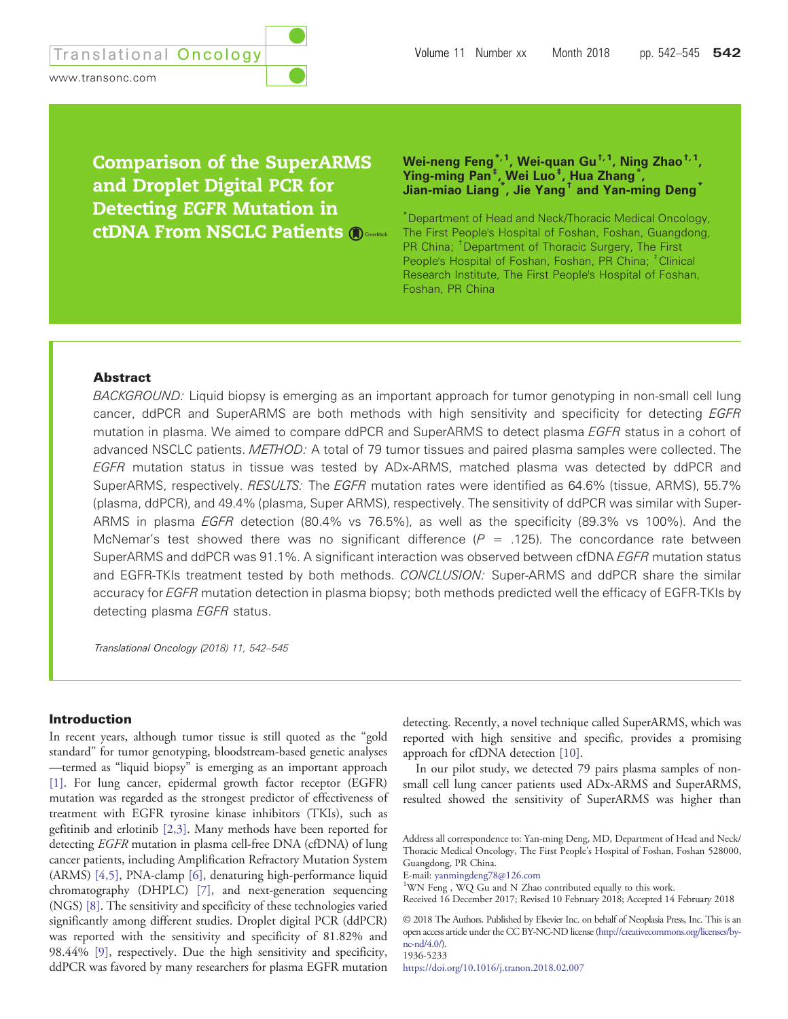Comparison of the SuperARMS and Droplet Digital PCR for Detecting EGFR Mutation in ctDNA From NSCLC Patients Wei-neng Feng $^{\ast,\mathsf{1}}$ , Wei-quan Gu $^{\mathsf{t},\mathsf{1}}$ , Ning Zhao $^{\mathsf{t},\mathsf{1}}$ , Ying-ming Pan‡ , Wei Luo‡ , Hua Zhang\* , Jian-miao Liang\* , Jie Yang† and Yan-ming Deng\*

\* Department of Head and Neck/Thoracic Medical Oncology, The First People's Hospital of Foshan, Foshan, Guangdong, PR China; <sup>†</sup> Department of Thoracic Surgery, The First People's Hospital of Foshan, Foshan, PR China; <sup>#</sup>Clinical Research Institute, The First People's Hospital of Foshan, Foshan, PR China

# Abstract

BACKGROUND: Liquid biopsy is emerging as an important approach for tumor genotyping in non-small cell lung cancer, ddPCR and SuperARMS are both methods with high sensitivity and specificity for detecting *EGFR* mutation in plasma. We aimed to compare ddPCR and SuperARMS to detect plasma EGFR status in a cohort of advanced NSCLC patients. METHOD: A total of 79 tumor tissues and paired plasma samples were collected. The EGFR mutation status in tissue was tested by ADx-ARMS, matched plasma was detected by ddPCR and SuperARMS, respectively. RESULTS: The EGFR mutation rates were identified as 64.6% (tissue, ARMS), 55.7% (plasma, ddPCR), and 49.4% (plasma, Super ARMS), respectively. The sensitivity of ddPCR was similar with Super-ARMS in plasma EGFR detection (80.4% vs 76.5%), as well as the specificity (89.3% vs 100%). And the McNemar's test showed there was no significant difference ( $P = .125$ ). The concordance rate between SuperARMS and ddPCR was 91.1%. A significant interaction was observed between cfDNA EGFR mutation status and EGFR-TKIs treatment tested by both methods. CONCLUSION: Super-ARMS and ddPCR share the similar accuracy for EGFR mutation detection in plasma biopsy; both methods predicted well the efficacy of EGFR-TKIs by detecting plasma **EGFR** status.

Translational Oncology (2018) 11, 542–545

### Introduction

In recent years, although tumor tissue is still quoted as the "gold standard" for tumor genotyping, bloodstream-based genetic analyses —termed as "liquid biopsy" is emerging as an important approach [\[1\]](#page-3-0). For lung cancer, epidermal growth factor receptor (EGFR) mutation was regarded as the strongest predictor of effectiveness of treatment with EGFR tyrosine kinase inhibitors (TKIs), such as gefitinib and erlotinib [\[2,3\]](#page-3-0). Many methods have been reported for detecting EGFR mutation in plasma cell-free DNA (cfDNA) of lung cancer patients, including Amplification Refractory Mutation System (ARMS) [\[4,5\]](#page-3-0), PNA-clamp [\[6\],](#page-3-0) denaturing high-performance liquid chromatography (DHPLC) [\[7\]](#page-3-0), and next-generation sequencing (NGS) [\[8\].](#page-3-0) The sensitivity and specificity of these technologies varied significantly among different studies. Droplet digital PCR (ddPCR) was reported with the sensitivity and specificity of 81.82% and 98.44% [\[9\],](#page-3-0) respectively. Due the high sensitivity and specificity, ddPCR was favored by many researchers for plasma EGFR mutation detecting. Recently, a novel technique called SuperARMS, which was reported with high sensitive and specific, provides a promising approach for cfDNA detection [\[10\].](#page-3-0)

In our pilot study, we detected 79 pairs plasma samples of nonsmall cell lung cancer patients used ADx-ARMS and SuperARMS, resulted showed the sensitivity of SuperARMS was higher than

<sup>1</sup>WN Feng, WQ Gu and N Zhao contributed equally to this work.

<https://doi.org/10.1016/j.tranon.2018.02.007>

Address all correspondence to: Yan-ming Deng, MD, Department of Head and Neck/ Thoracic Medical Oncology, The First People's Hospital of Foshan, Foshan 528000, Guangdong, PR China.

E-mail: <yanmingdeng78@126.com> <sup>1</sup>

Received 16 December 2017; Revised 10 February 2018; Accepted 14 February 2018

<sup>© 2018</sup> The Authors. Published by Elsevier Inc. on behalf of Neoplasia Press, Inc. This is an open access article under the CC BY-NC-ND license [\(http://creativecommons.org/licenses/by](http://creativecommons.org/licenses/by-nc-nd/4.0/)[nc-nd/4.0/](http://creativecommons.org/licenses/by-nc-nd/4.0/)). 1936-5233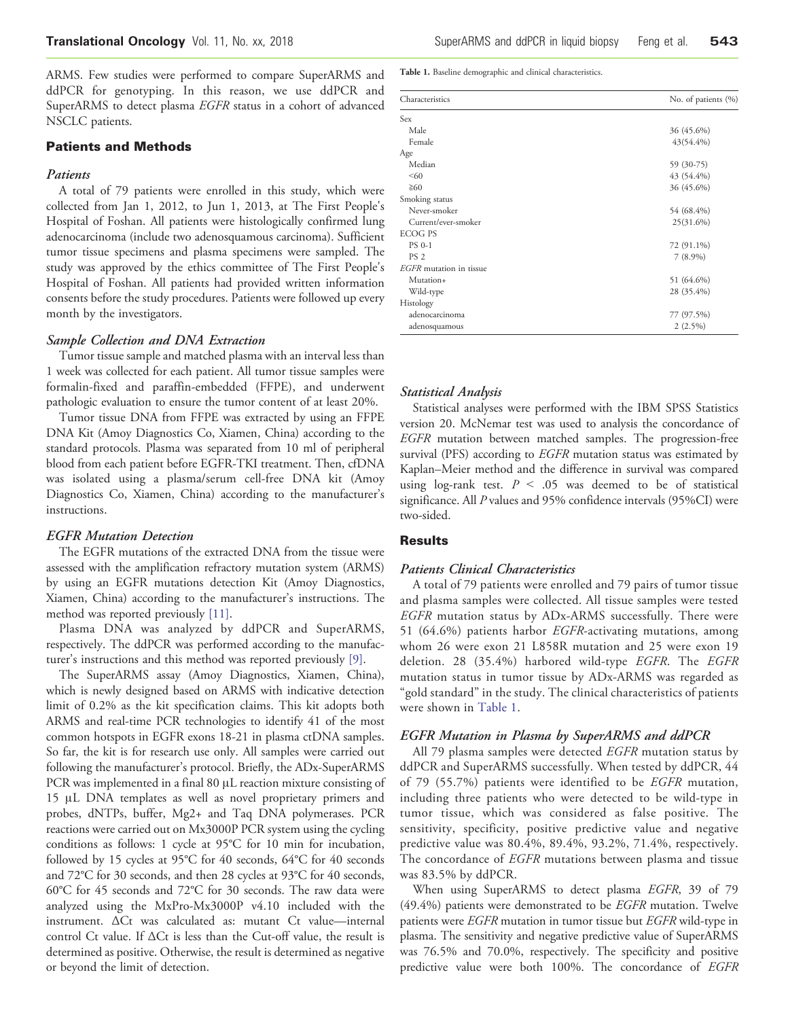ARMS. Few studies were performed to compare SuperARMS and ddPCR for genotyping. In this reason, we use ddPCR and SuperARMS to detect plasma EGFR status in a cohort of advanced NSCLC patients.

### Patients and Methods

# Patients

A total of 79 patients were enrolled in this study, which were collected from Jan 1, 2012, to Jun 1, 2013, at The First People's Hospital of Foshan. All patients were histologically confirmed lung adenocarcinoma (include two adenosquamous carcinoma). Sufficient tumor tissue specimens and plasma specimens were sampled. The study was approved by the ethics committee of The First People's Hospital of Foshan. All patients had provided written information consents before the study procedures. Patients were followed up every month by the investigators.

### Sample Collection and DNA Extraction

Tumor tissue sample and matched plasma with an interval less than 1 week was collected for each patient. All tumor tissue samples were formalin-fixed and paraffin-embedded (FFPE), and underwent pathologic evaluation to ensure the tumor content of at least 20%.

Tumor tissue DNA from FFPE was extracted by using an FFPE DNA Kit (Amoy Diagnostics Co, Xiamen, China) according to the standard protocols. Plasma was separated from 10 ml of peripheral blood from each patient before EGFR-TKI treatment. Then, cfDNA was isolated using a plasma/serum cell-free DNA kit (Amoy Diagnostics Co, Xiamen, China) according to the manufacturer's instructions.

#### EGFR Mutation Detection

The EGFR mutations of the extracted DNA from the tissue were assessed with the amplification refractory mutation system (ARMS) by using an EGFR mutations detection Kit (Amoy Diagnostics, Xiamen, China) according to the manufacturer's instructions. The method was reported previously [\[11\]](#page-3-0).

Plasma DNA was analyzed by ddPCR and SuperARMS, respectively. The ddPCR was performed according to the manufacturer's instructions and this method was reported previously [\[9\]](#page-3-0).

The SuperARMS assay (Amoy Diagnostics, Xiamen, China), which is newly designed based on ARMS with indicative detection limit of 0.2% as the kit specification claims. This kit adopts both ARMS and real-time PCR technologies to identify 41 of the most common hotspots in EGFR exons 18-21 in plasma ctDNA samples. So far, the kit is for research use only. All samples were carried out following the manufacturer's protocol. Briefly, the ADx-SuperARMS PCR was implemented in a final 80 μL reaction mixture consisting of 15 μL DNA templates as well as novel proprietary primers and probes, dNTPs, buffer, Mg2+ and Taq DNA polymerases. PCR reactions were carried out on Mx3000P PCR system using the cycling conditions as follows: 1 cycle at 95°C for 10 min for incubation, followed by 15 cycles at 95°C for 40 seconds, 64°C for 40 seconds and 72°C for 30 seconds, and then 28 cycles at 93°C for 40 seconds, 60°C for 45 seconds and 72°C for 30 seconds. The raw data were analyzed using the MxPro-Mx3000P v4.10 included with the instrument. ΔCt was calculated as: mutant Ct value—internal control Ct value. If ΔCt is less than the Cut-off value, the result is determined as positive. Otherwise, the result is determined as negative or beyond the limit of detection.

Table 1. Baseline demographic and clinical characteristics.

| Characteristics         | No. of patients (%) |
|-------------------------|---------------------|
| Sex                     |                     |
| Male                    | 36 (45.6%)          |
| Female                  | 43(54.4%)           |
| Age                     |                     |
| Median                  | 59 (30-75)          |
| < 60                    | 43 (54.4%)          |
| $\geq 60$               | 36 (45.6%)          |
| Smoking status          |                     |
| Never-smoker            | 54 (68.4%)          |
| Current/ever-smoker     | 25(31.6%)           |
| <b>ECOG PS</b>          |                     |
| <b>PS 0-1</b>           | 72 (91.1%)          |
| PS <sub>2</sub>         | $7(8.9\%)$          |
| EGFR mutation in tissue |                     |
| Mutation+               | 51 (64.6%)          |
| Wild-type               | 28 (35.4%)          |
| Histology               |                     |
| adenocarcinoma          | 77 (97.5%)          |
| adenosquamous           | $2(2.5\%)$          |

#### Statistical Analysis

Statistical analyses were performed with the IBM SPSS Statistics version 20. McNemar test was used to analysis the concordance of EGFR mutation between matched samples. The progression-free survival (PFS) according to *EGFR* mutation status was estimated by Kaplan–Meier method and the difference in survival was compared using log-rank test.  $P < .05$  was deemed to be of statistical significance. All P values and 95% confidence intervals (95%CI) were two-sided.

# **Results**

### Patients Clinical Characteristics

A total of 79 patients were enrolled and 79 pairs of tumor tissue and plasma samples were collected. All tissue samples were tested EGFR mutation status by ADx-ARMS successfully. There were 51 (64.6%) patients harbor  $EGFR$ -activating mutations, among whom 26 were exon 21 L858R mutation and 25 were exon 19 deletion. 28 (35.4%) harbored wild-type EGFR. The EGFR mutation status in tumor tissue by ADx-ARMS was regarded as "gold standard" in the study. The clinical characteristics of patients were shown in Table 1.

# EGFR Mutation in Plasma by SuperARMS and ddPCR

All 79 plasma samples were detected EGFR mutation status by ddPCR and SuperARMS successfully. When tested by ddPCR, 44 of 79 (55.7%) patients were identified to be EGFR mutation, including three patients who were detected to be wild-type in tumor tissue, which was considered as false positive. The sensitivity, specificity, positive predictive value and negative predictive value was 80.4%, 89.4%, 93.2%, 71.4%, respectively. The concordance of EGFR mutations between plasma and tissue was 83.5% by ddPCR.

When using SuperARMS to detect plasma EGFR, 39 of 79 (49.4%) patients were demonstrated to be EGFR mutation. Twelve patients were EGFR mutation in tumor tissue but EGFR wild-type in plasma. The sensitivity and negative predictive value of SuperARMS was 76.5% and 70.0%, respectively. The specificity and positive predictive value were both 100%. The concordance of EGFR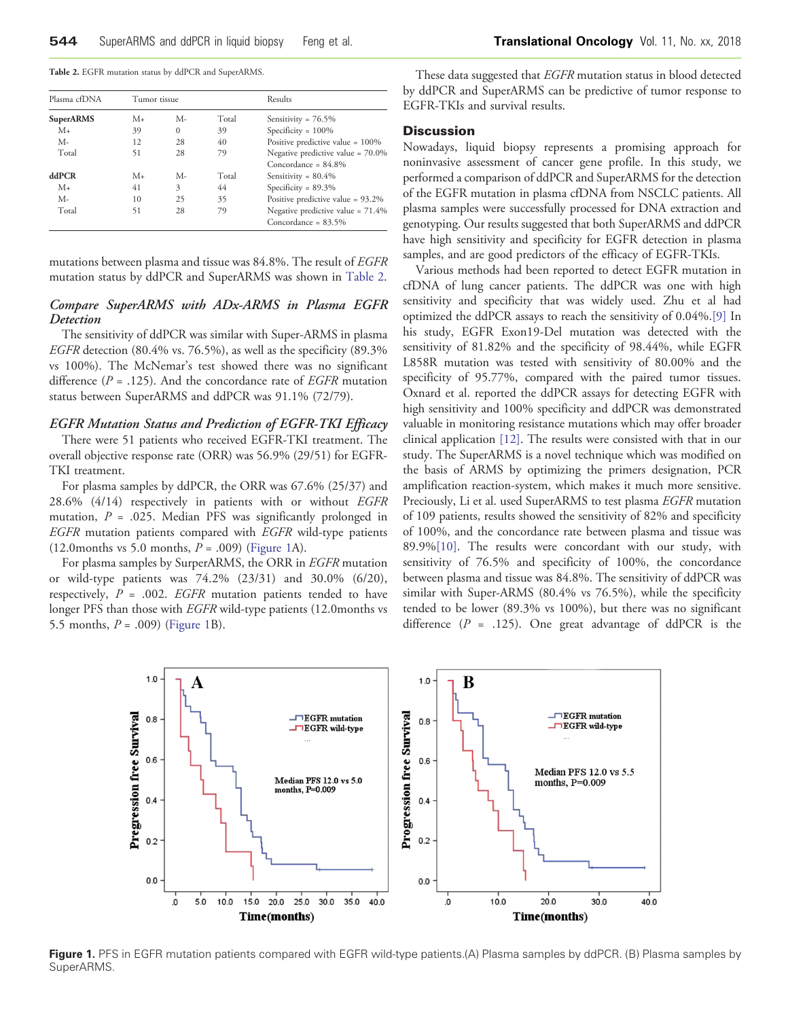<span id="page-2-0"></span>Table 2. EGFR mutation status by ddPCR and SuperARMS.

| Plasma cfDNA<br><b>SuperARMS</b> | Tumor tissue |          |       | Results                              |
|----------------------------------|--------------|----------|-------|--------------------------------------|
|                                  | $M_{+}$      | M-       | Total | Sensitivity = $76.5\%$               |
| $M_{+}$                          | 39           | $\Omega$ | 39    | Specificity = $100\%$                |
| $M -$                            | 12           | 28       | 40    | Positive predictive value = $100\%$  |
| Total                            | 51           | 28       | 79    | Negative predictive value = 70.0%    |
|                                  |              |          |       | Concordance = $84.8\%$               |
| ddPCR                            | $M_{+}$      | M-       | Total | Sensitivity = $80.4\%$               |
| $M_{+}$                          | 41           | 3        | 44    | Specificity = $89.3\%$               |
| $M -$                            | 10           | 25       | 35    | Positive predictive value = 93.2%    |
| Total                            | 51           | 28       | 79    | Negative predictive value = $71.4\%$ |
|                                  |              |          |       | Concordance = $83.5\%$               |

mutations between plasma and tissue was 84.8%. The result of EGFR mutation status by ddPCR and SuperARMS was shown in Table 2.

# Compare SuperARMS with ADx-ARMS in Plasma EGFR Detection

The sensitivity of ddPCR was similar with Super-ARMS in plasma EGFR detection (80.4% vs. 76.5%), as well as the specificity (89.3% vs 100%). The McNemar's test showed there was no significant difference ( $P = .125$ ). And the concordance rate of *EGFR* mutation status between SuperARMS and ddPCR was 91.1% (72/79).

# EGFR Mutation Status and Prediction of EGFR-TKI Efficacy

There were 51 patients who received EGFR-TKI treatment. The overall objective response rate (ORR) was 56.9% (29/51) for EGFR-TKI treatment.

For plasma samples by ddPCR, the ORR was 67.6% (25/37) and 28.6% (4/14) respectively in patients with or without EGFR mutation,  $P = .025$ . Median PFS was significantly prolonged in EGFR mutation patients compared with EGFR wild-type patients (12.0months vs 5.0 months,  $P = .009$ ) (Figure 1A).

For plasma samples by SurperARMS, the ORR in EGFR mutation or wild-type patients was 74.2% (23/31) and 30.0% (6/20), respectively,  $P = .002$ . *EGFR* mutation patients tended to have longer PFS than those with EGFR wild-type patients (12.0months vs 5.5 months,  $P = .009$ ) (Figure 1B).

These data suggested that EGFR mutation status in blood detected by ddPCR and SuperARMS can be predictive of tumor response to EGFR-TKIs and survival results.

#### Discussion

Nowadays, liquid biopsy represents a promising approach for noninvasive assessment of cancer gene profile. In this study, we performed a comparison of ddPCR and SuperARMS for the detection of the EGFR mutation in plasma cfDNA from NSCLC patients. All plasma samples were successfully processed for DNA extraction and genotyping. Our results suggested that both SuperARMS and ddPCR have high sensitivity and specificity for EGFR detection in plasma samples, and are good predictors of the efficacy of EGFR-TKIs.

Various methods had been reported to detect EGFR mutation in cfDNA of lung cancer patients. The ddPCR was one with high sensitivity and specificity that was widely used. Zhu et al had optimized the ddPCR assays to reach the sensitivity of 0.04%[.\[9\]](#page-3-0) In his study, EGFR Exon19-Del mutation was detected with the sensitivity of 81.82% and the specificity of 98.44%, while EGFR L858R mutation was tested with sensitivity of 80.00% and the specificity of 95.77%, compared with the paired tumor tissues. Oxnard et al. reported the ddPCR assays for detecting EGFR with high sensitivity and 100% specificity and ddPCR was demonstrated valuable in monitoring resistance mutations which may offer broader clinical application [\[12\]](#page-3-0). The results were consisted with that in our study. The SuperARMS is a novel technique which was modified on the basis of ARMS by optimizing the primers designation, PCR amplification reaction-system, which makes it much more sensitive. Preciously, Li et al. used SuperARMS to test plasma EGFR mutation of 109 patients, results showed the sensitivity of 82% and specificity of 100%, and the concordance rate between plasma and tissue was 89.9%[\[10\]](#page-3-0). The results were concordant with our study, with sensitivity of 76.5% and specificity of 100%, the concordance between plasma and tissue was 84.8%. The sensitivity of ddPCR was similar with Super-ARMS (80.4% vs 76.5%), while the specificity tended to be lower (89.3% vs 100%), but there was no significant difference ( $P = .125$ ). One great advantage of ddPCR is the



Figure 1. PFS in EGFR mutation patients compared with EGFR wild-type patients.(A) Plasma samples by ddPCR. (B) Plasma samples by SuperARMS.